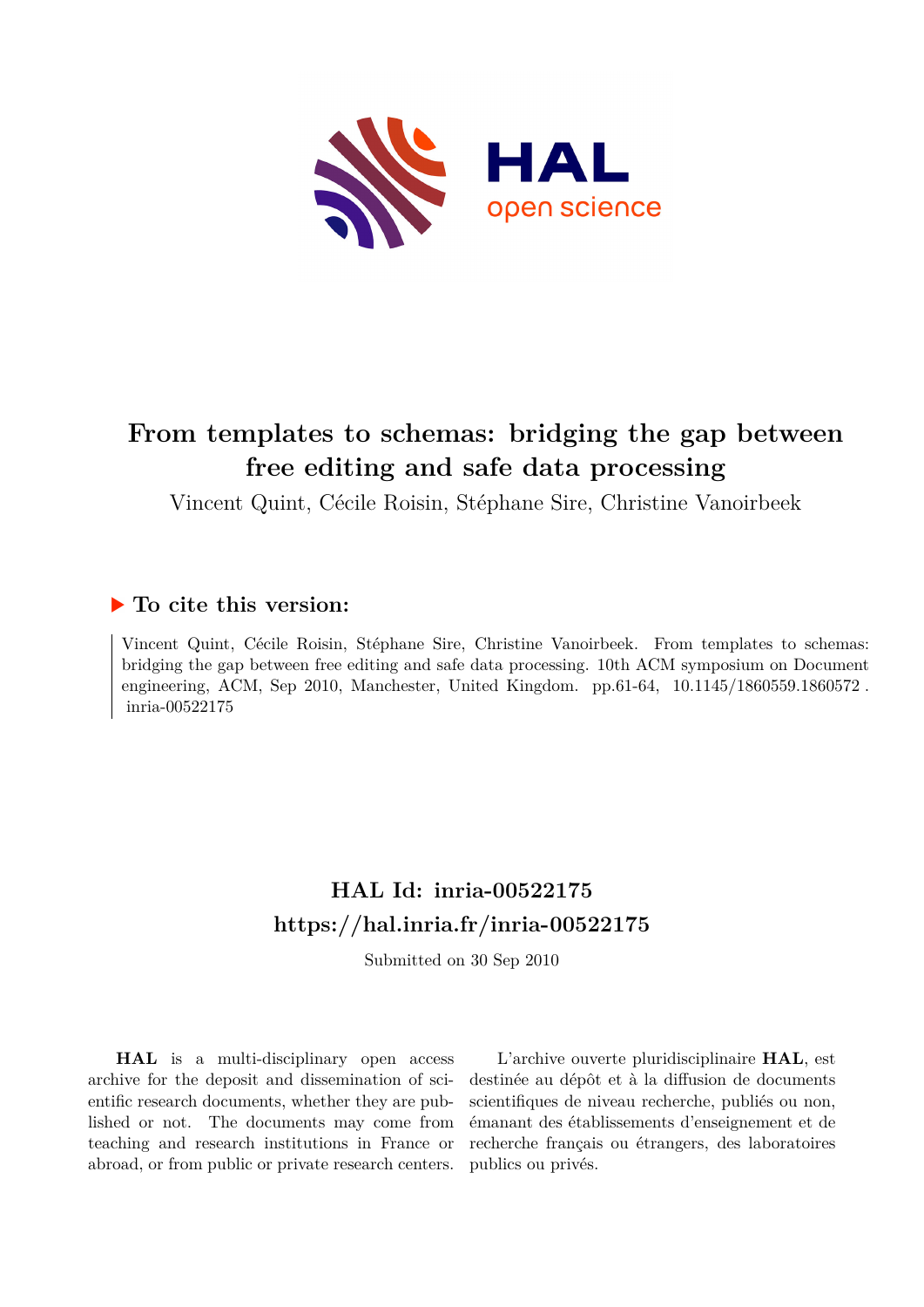

# **From templates to schemas: bridging the gap between free editing and safe data processing**

Vincent Quint, Cécile Roisin, Stéphane Sire, Christine Vanoirbeek

## **To cite this version:**

Vincent Quint, Cécile Roisin, Stéphane Sire, Christine Vanoirbeek. From templates to schemas: bridging the gap between free editing and safe data processing. 10th ACM symposium on Document engineering, ACM, Sep 2010, Manchester, United Kingdom. pp.61-64, 10.1145/1860559.1860572. inria-00522175

## **HAL Id: inria-00522175 <https://hal.inria.fr/inria-00522175>**

Submitted on 30 Sep 2010

**HAL** is a multi-disciplinary open access archive for the deposit and dissemination of scientific research documents, whether they are published or not. The documents may come from teaching and research institutions in France or abroad, or from public or private research centers.

L'archive ouverte pluridisciplinaire **HAL**, est destinée au dépôt et à la diffusion de documents scientifiques de niveau recherche, publiés ou non, émanant des établissements d'enseignement et de recherche français ou étrangers, des laboratoires publics ou privés.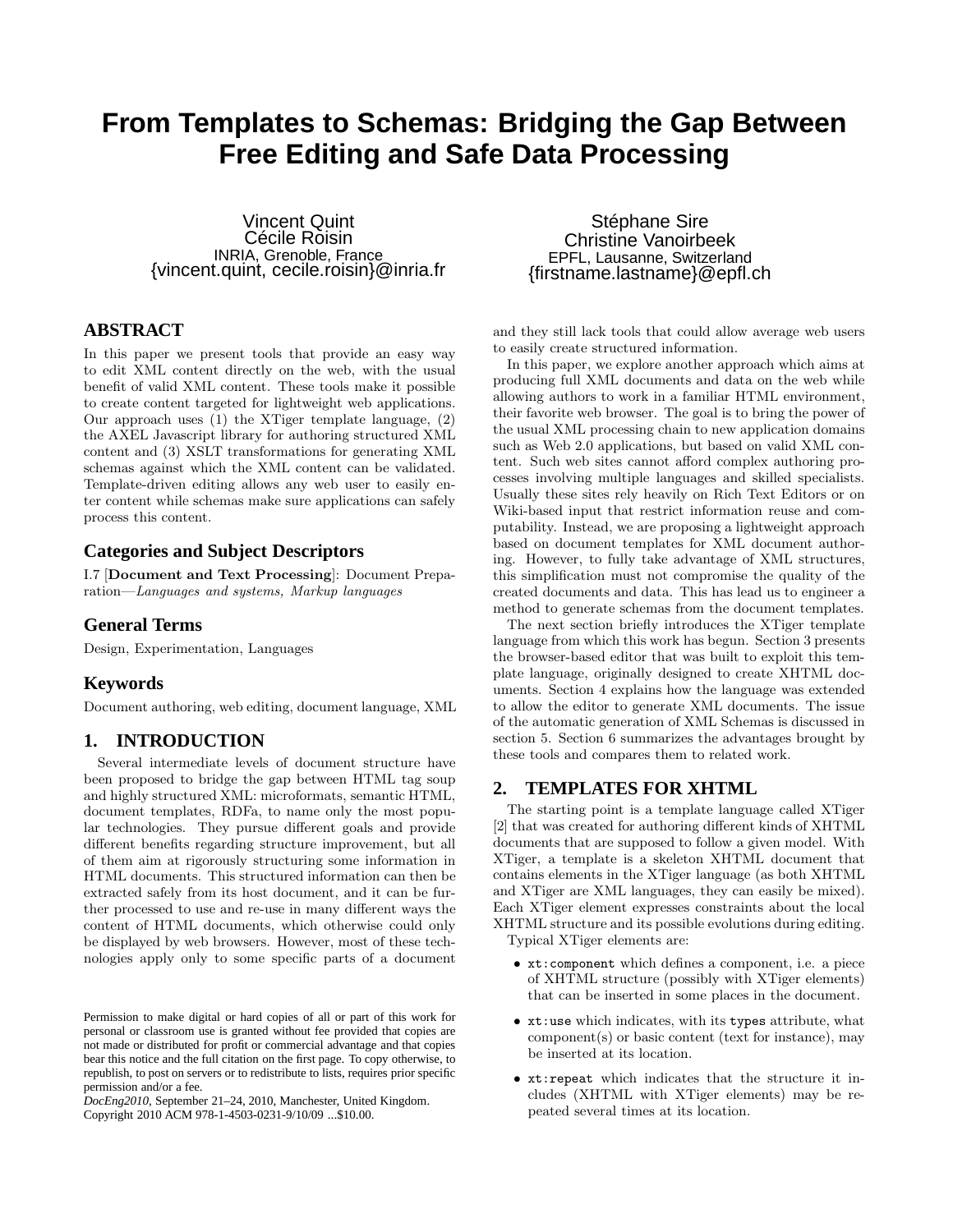## **From Templates to Schemas: Bridging the Gap Between Free Editing and Safe Data Processing**

Vincent Quint Cécile Roisin INRIA, Grenoble, France {vincent.quint, cecile.roisin}@inria.fr

## **ABSTRACT**

In this paper we present tools that provide an easy way to edit XML content directly on the web, with the usual benefit of valid XML content. These tools make it possible to create content targeted for lightweight web applications. Our approach uses (1) the XTiger template language, (2) the AXEL Javascript library for authoring structured XML content and (3) XSLT transformations for generating XML schemas against which the XML content can be validated. Template-driven editing allows any web user to easily enter content while schemas make sure applications can safely process this content.

## **Categories and Subject Descriptors**

I.7 [Document and Text Processing]: Document Preparation—Languages and systems, Markup languages

## **General Terms**

Design, Experimentation, Languages

## **Keywords**

Document authoring, web editing, document language, XML

## **1. INTRODUCTION**

Several intermediate levels of document structure have been proposed to bridge the gap between HTML tag soup and highly structured XML: microformats, semantic HTML, document templates, RDFa, to name only the most popular technologies. They pursue different goals and provide different benefits regarding structure improvement, but all of them aim at rigorously structuring some information in HTML documents. This structured information can then be extracted safely from its host document, and it can be further processed to use and re-use in many different ways the content of HTML documents, which otherwise could only be displayed by web browsers. However, most of these technologies apply only to some specific parts of a document

*DocEng2010,* September 21–24, 2010, Manchester, United Kingdom. Copyright 2010 ACM 978-1-4503-0231-9/10/09 ...\$10.00.

Stéphane Sire Christine Vanoirbeek EPFL, Lausanne, Switzerland {firstname.lastname}@epfl.ch

and they still lack tools that could allow average web users to easily create structured information.

In this paper, we explore another approach which aims at producing full XML documents and data on the web while allowing authors to work in a familiar HTML environment, their favorite web browser. The goal is to bring the power of the usual XML processing chain to new application domains such as Web 2.0 applications, but based on valid XML content. Such web sites cannot afford complex authoring processes involving multiple languages and skilled specialists. Usually these sites rely heavily on Rich Text Editors or on Wiki-based input that restrict information reuse and computability. Instead, we are proposing a lightweight approach based on document templates for XML document authoring. However, to fully take advantage of XML structures, this simplification must not compromise the quality of the created documents and data. This has lead us to engineer a method to generate schemas from the document templates.

The next section briefly introduces the XTiger template language from which this work has begun. Section 3 presents the browser-based editor that was built to exploit this template language, originally designed to create XHTML documents. Section 4 explains how the language was extended to allow the editor to generate XML documents. The issue of the automatic generation of XML Schemas is discussed in section 5. Section 6 summarizes the advantages brought by these tools and compares them to related work.

## **2. TEMPLATES FOR XHTML**

The starting point is a template language called XTiger [2] that was created for authoring different kinds of XHTML documents that are supposed to follow a given model. With XTiger, a template is a skeleton XHTML document that contains elements in the XTiger language (as both XHTML and XTiger are XML languages, they can easily be mixed). Each XTiger element expresses constraints about the local XHTML structure and its possible evolutions during editing. Typical XTiger elements are:

- xt:component which defines a component, i.e. a piece of XHTML structure (possibly with XTiger elements) that can be inserted in some places in the document.
- xt:use which indicates, with its types attribute, what component(s) or basic content (text for instance), may be inserted at its location.
- xt:repeat which indicates that the structure it includes (XHTML with XTiger elements) may be repeated several times at its location.

Permission to make digital or hard copies of all or part of this work for personal or classroom use is granted without fee provided that copies are not made or distributed for profit or commercial advantage and that copies bear this notice and the full citation on the first page. To copy otherwise, to republish, to post on servers or to redistribute to lists, requires prior specific permission and/or a fee.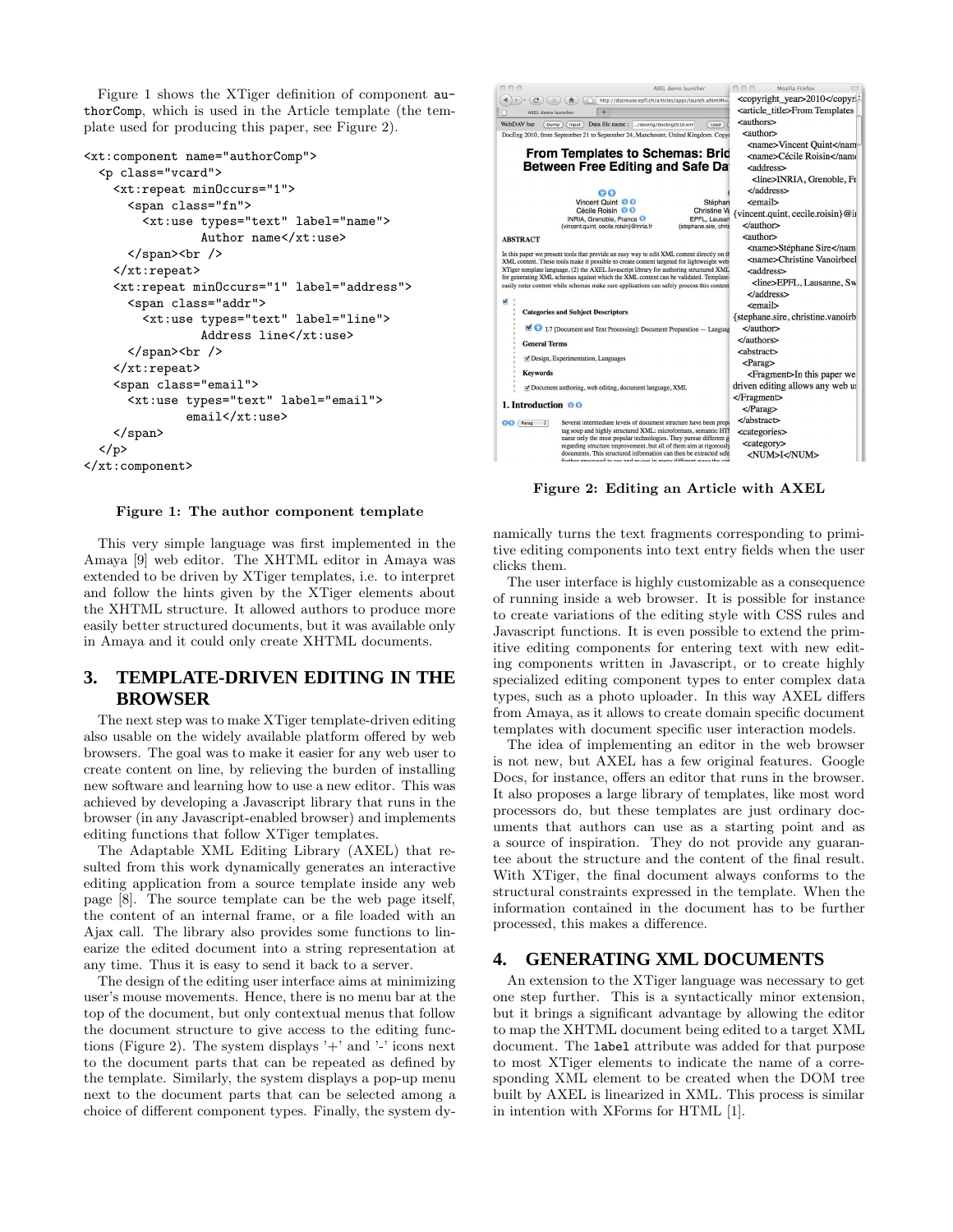Figure 1 shows the XTiger definition of component authorComp, which is used in the Article template (the template used for producing this paper, see Figure 2).

```
<xt:component name="authorComp">
  <p class="vcard">
    <xt:repeat minOccurs="1">
      <span class="fn">
        <xt:use types="text" label="name">
                 Author name</xt:use>
      \langle/span>\langlebr />
    </xt:repeat>
    <xt:repeat minOccurs="1" label="address">
      <span class="addr">
        <xt:use types="text" label="line">
                 Address line</xt:use>
      </span><br />
    </xt:repeat>
    <span class="email">
      <xt:use types="text" label="email">
              email</xt:use>
    </span>
  </p>
</xt:component>
```
#### Figure 1: The author component template

This very simple language was first implemented in the Amaya [9] web editor. The XHTML editor in Amaya was extended to be driven by XTiger templates, i.e. to interpret and follow the hints given by the XTiger elements about the XHTML structure. It allowed authors to produce more easily better structured documents, but it was available only in Amaya and it could only create XHTML documents.

## **3. TEMPLATE-DRIVEN EDITING IN THE BROWSER**

The next step was to make XTiger template-driven editing also usable on the widely available platform offered by web browsers. The goal was to make it easier for any web user to create content on line, by relieving the burden of installing new software and learning how to use a new editor. This was achieved by developing a Javascript library that runs in the browser (in any Javascript-enabled browser) and implements editing functions that follow XTiger templates.

The Adaptable XML Editing Library (AXEL) that resulted from this work dynamically generates an interactive editing application from a source template inside any web page [8]. The source template can be the web page itself, the content of an internal frame, or a file loaded with an Ajax call. The library also provides some functions to linearize the edited document into a string representation at any time. Thus it is easy to send it back to a server.

The design of the editing user interface aims at minimizing user's mouse movements. Hence, there is no menu bar at the top of the document, but only contextual menus that follow the document structure to give access to the editing functions (Figure 2). The system displays  $+$  and  $-$  icons next to the document parts that can be repeated as defined by the template. Similarly, the system displays a pop-up menu next to the document parts that can be selected among a choice of different component types. Finally, the system dy-

| C                                                                                                                                                                                                                                                                                                                                                                        |                                                                                                                                                                                                                                                                                   | AXEL demo launcher                                    | Mozilla Firefox                                                                                                   |
|--------------------------------------------------------------------------------------------------------------------------------------------------------------------------------------------------------------------------------------------------------------------------------------------------------------------------------------------------------------------------|-----------------------------------------------------------------------------------------------------------------------------------------------------------------------------------------------------------------------------------------------------------------------------------|-------------------------------------------------------|-------------------------------------------------------------------------------------------------------------------|
| (C)                                                                                                                                                                                                                                                                                                                                                                      | http://docreuse.epfl.ch/articles/apps/launch.xhtml#t=                                                                                                                                                                                                                             |                                                       | <copyright_year>2010</copyright_year>                                                                             |
| AXEL demo launcher                                                                                                                                                                                                                                                                                                                                                       | ÷                                                                                                                                                                                                                                                                                 |                                                       | <article_title>From Templates</article_title>                                                                     |
| WebDAV bar<br>Dump                                                                                                                                                                                                                                                                                                                                                       | Data file name : /docena/DocEna2010.xml<br>Input                                                                                                                                                                                                                                  | Load                                                  | <authors></authors>                                                                                               |
|                                                                                                                                                                                                                                                                                                                                                                          | DocEng 2010, from September 21 to September 24, Manchester, United Kingdom, Copyr                                                                                                                                                                                                 |                                                       | <author></author>                                                                                                 |
|                                                                                                                                                                                                                                                                                                                                                                          | <b>From Templates to Schemas: Brid</b><br><b>Between Free Editing and Safe Date</b>                                                                                                                                                                                               |                                                       | <name>Vincent Ouint<name>Cécile Roisin</name><br/><address><br/><line>INRIA, Grenoble, Fr</line></address></name> |
|                                                                                                                                                                                                                                                                                                                                                                          |                                                                                                                                                                                                                                                                                   |                                                       | $\langle$ address $\rangle$                                                                                       |
|                                                                                                                                                                                                                                                                                                                                                                          | Vincent Quint O O                                                                                                                                                                                                                                                                 | Stéphan                                               | $\le$ email>                                                                                                      |
|                                                                                                                                                                                                                                                                                                                                                                          | Cécile Roisin O O<br><b>INRIA.</b> Grenoble. France<br>{vincent.quint, cecile.roisin}@inria.fr                                                                                                                                                                                    | Christine Va<br>EPFL, Lausan<br>(stephane.sire, chris | {vincent.quint, cecile.roisin}@ii<br>$\langle$ author $\rangle$                                                   |
| <b>ABSTRACT</b>                                                                                                                                                                                                                                                                                                                                                          |                                                                                                                                                                                                                                                                                   |                                                       | <author></author>                                                                                                 |
| In this paper we present tools that provide an easy way to edit XML content directly on th<br>XML content. These tools make it possible to create content targeted for lightweight web<br>XTiger template language, (2) the AXEL Javascript library for authoring structured XML<br>for generating XML schemas against which the XML content can be validated. Template- |                                                                                                                                                                                                                                                                                   |                                                       | <name>Stéphane Sire<name>Christine Vanoirbeel<br/><address></address></name></name>                               |
| easily enter content while schemas make sure applications can safely process this content                                                                                                                                                                                                                                                                                |                                                                                                                                                                                                                                                                                   |                                                       | <line>EPFL, Lausanne, Sw</line>                                                                                   |
| ∀                                                                                                                                                                                                                                                                                                                                                                        |                                                                                                                                                                                                                                                                                   |                                                       | <br>$\epsilon$ <i>email</i>                                                                                       |
|                                                                                                                                                                                                                                                                                                                                                                          | <b>Categories and Subject Descriptors</b>                                                                                                                                                                                                                                         |                                                       | {stephane.sire, christine.vanoirb                                                                                 |
| 1.7 IDocument and Text Processing]: Document Preparation - Languag                                                                                                                                                                                                                                                                                                       |                                                                                                                                                                                                                                                                                   |                                                       | $\langle$ author>                                                                                                 |
| <b>General Terms</b>                                                                                                                                                                                                                                                                                                                                                     |                                                                                                                                                                                                                                                                                   |                                                       | $\langle$ authors $\rangle$                                                                                       |
|                                                                                                                                                                                                                                                                                                                                                                          |                                                                                                                                                                                                                                                                                   |                                                       | <abstract></abstract>                                                                                             |
| ☑ Design, Experimentation, Languages                                                                                                                                                                                                                                                                                                                                     |                                                                                                                                                                                                                                                                                   |                                                       | $<$ Parag $>$                                                                                                     |
| <b>Keywords</b>                                                                                                                                                                                                                                                                                                                                                          |                                                                                                                                                                                                                                                                                   |                                                       | $\epsilon$ Fragment $\epsilon$ In this paper we                                                                   |
| ☑ Document authoring, web editing, document language, XML                                                                                                                                                                                                                                                                                                                |                                                                                                                                                                                                                                                                                   |                                                       | driven editing allows any web us                                                                                  |
|                                                                                                                                                                                                                                                                                                                                                                          |                                                                                                                                                                                                                                                                                   |                                                       | $\langle$ Fragment $\rangle$                                                                                      |
| 1. Introduction $\Theta$                                                                                                                                                                                                                                                                                                                                                 |                                                                                                                                                                                                                                                                                   |                                                       | $<$ Parag>                                                                                                        |
| Parag<br>$\bullet$                                                                                                                                                                                                                                                                                                                                                       | Several intermediate levels of document structure have been prope<br>tag soup and highly structured XML: microformats, semantic HTI                                                                                                                                               |                                                       | $\langle$ abstract $\rangle$<br><categories></categories>                                                         |
|                                                                                                                                                                                                                                                                                                                                                                          | name only the most popular technologies. They pursue different g<br>regarding structure improvement, but all of them aim at rigorously<br>documents. This structured information can then be extracted safe<br>further processed to use and re-use in many different wavs the cor | <category><br/><num>I</num></category>                |                                                                                                                   |

Figure 2: Editing an Article with AXEL

namically turns the text fragments corresponding to primitive editing components into text entry fields when the user clicks them.

The user interface is highly customizable as a consequence of running inside a web browser. It is possible for instance to create variations of the editing style with CSS rules and Javascript functions. It is even possible to extend the primitive editing components for entering text with new editing components written in Javascript, or to create highly specialized editing component types to enter complex data types, such as a photo uploader. In this way AXEL differs from Amaya, as it allows to create domain specific document templates with document specific user interaction models.

The idea of implementing an editor in the web browser is not new, but AXEL has a few original features. Google Docs, for instance, offers an editor that runs in the browser. It also proposes a large library of templates, like most word processors do, but these templates are just ordinary documents that authors can use as a starting point and as a source of inspiration. They do not provide any guarantee about the structure and the content of the final result. With XTiger, the final document always conforms to the structural constraints expressed in the template. When the information contained in the document has to be further processed, this makes a difference.

## **4. GENERATING XML DOCUMENTS**

An extension to the XTiger language was necessary to get one step further. This is a syntactically minor extension, but it brings a significant advantage by allowing the editor to map the XHTML document being edited to a target XML document. The label attribute was added for that purpose to most XTiger elements to indicate the name of a corresponding XML element to be created when the DOM tree built by AXEL is linearized in XML. This process is similar in intention with XForms for HTML [1].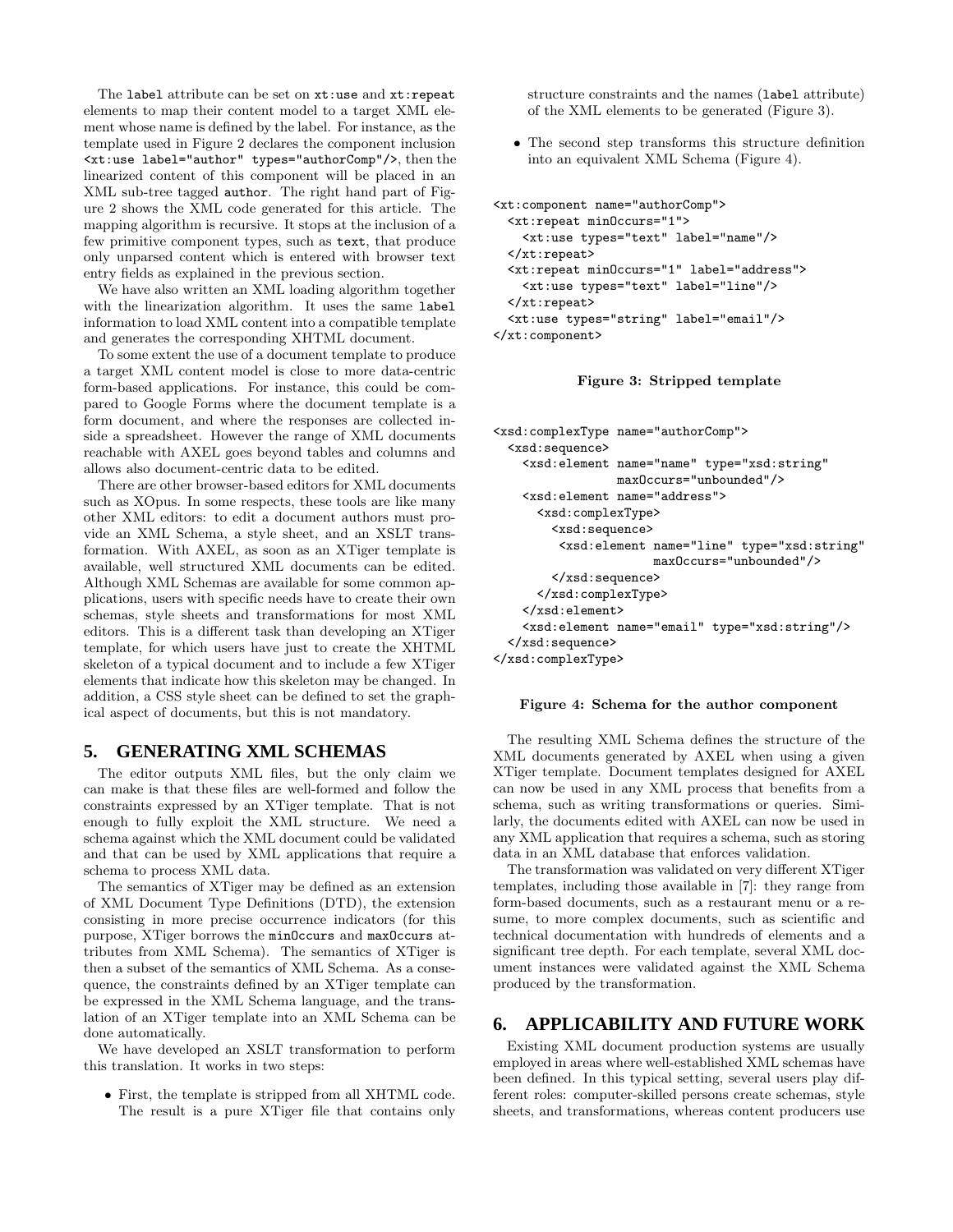The label attribute can be set on xt:use and xt:repeat elements to map their content model to a target XML element whose name is defined by the label. For instance, as the template used in Figure 2 declares the component inclusion <xt:use label="author" types="authorComp"/>, then the linearized content of this component will be placed in an XML sub-tree tagged author. The right hand part of Figure 2 shows the XML code generated for this article. The mapping algorithm is recursive. It stops at the inclusion of a few primitive component types, such as text, that produce only unparsed content which is entered with browser text entry fields as explained in the previous section.

We have also written an XML loading algorithm together with the linearization algorithm. It uses the same label information to load XML content into a compatible template and generates the corresponding XHTML document.

To some extent the use of a document template to produce a target XML content model is close to more data-centric form-based applications. For instance, this could be compared to Google Forms where the document template is a form document, and where the responses are collected inside a spreadsheet. However the range of XML documents reachable with AXEL goes beyond tables and columns and allows also document-centric data to be edited.

There are other browser-based editors for XML documents such as XOpus. In some respects, these tools are like many other XML editors: to edit a document authors must provide an XML Schema, a style sheet, and an XSLT transformation. With AXEL, as soon as an XTiger template is available, well structured XML documents can be edited. Although XML Schemas are available for some common applications, users with specific needs have to create their own schemas, style sheets and transformations for most XML editors. This is a different task than developing an XTiger template, for which users have just to create the XHTML skeleton of a typical document and to include a few XTiger elements that indicate how this skeleton may be changed. In addition, a CSS style sheet can be defined to set the graphical aspect of documents, but this is not mandatory.

## **5. GENERATING XML SCHEMAS**

The editor outputs XML files, but the only claim we can make is that these files are well-formed and follow the constraints expressed by an XTiger template. That is not enough to fully exploit the XML structure. We need a schema against which the XML document could be validated and that can be used by XML applications that require a schema to process XML data.

The semantics of XTiger may be defined as an extension of XML Document Type Definitions (DTD), the extension consisting in more precise occurrence indicators (for this purpose, XTiger borrows the minOccurs and maxOccurs attributes from XML Schema). The semantics of XTiger is then a subset of the semantics of XML Schema. As a consequence, the constraints defined by an XTiger template can be expressed in the XML Schema language, and the translation of an XTiger template into an XML Schema can be done automatically.

We have developed an XSLT transformation to perform this translation. It works in two steps:

• First, the template is stripped from all XHTML code. The result is a pure XTiger file that contains only structure constraints and the names (label attribute) of the XML elements to be generated (Figure 3).

• The second step transforms this structure definition into an equivalent XML Schema (Figure 4).

```
<xt:component name="authorComp">
  <xt:repeat minOccurs="1">
    <xt:use types="text" label="name"/>
  </xt:repeat>
  <xt:repeat minOccurs="1" label="address">
    <xt:use types="text" label="line"/>
  </xt:repeat>
  <xt:use types="string" label="email"/>
</xt:component>
```
Figure 3: Stripped template

```
<xsd:complexType name="authorComp">
  <xsd:sequence>
    <xsd:element name="name" type="xsd:string"
                 maxOccurs="unbounded"/>
    <xsd:element name="address">
      <xsd:complexType>
        <xsd:sequence>
         <xsd:element name="line" type="xsd:string"
                      maxOccurs="unbounded"/>
        </xsd:sequence>
      </xsd:complexType>
    </xsd:element>
    <xsd:element name="email" type="xsd:string"/>
  </xsd:sequence>
</xsd:complexType>
```
#### Figure 4: Schema for the author component

The resulting XML Schema defines the structure of the XML documents generated by AXEL when using a given XTiger template. Document templates designed for AXEL can now be used in any XML process that benefits from a schema, such as writing transformations or queries. Similarly, the documents edited with AXEL can now be used in any XML application that requires a schema, such as storing data in an XML database that enforces validation.

The transformation was validated on very different XTiger templates, including those available in [7]: they range from form-based documents, such as a restaurant menu or a resume, to more complex documents, such as scientific and technical documentation with hundreds of elements and a significant tree depth. For each template, several XML document instances were validated against the XML Schema produced by the transformation.

### **6. APPLICABILITY AND FUTURE WORK**

Existing XML document production systems are usually employed in areas where well-established XML schemas have been defined. In this typical setting, several users play different roles: computer-skilled persons create schemas, style sheets, and transformations, whereas content producers use